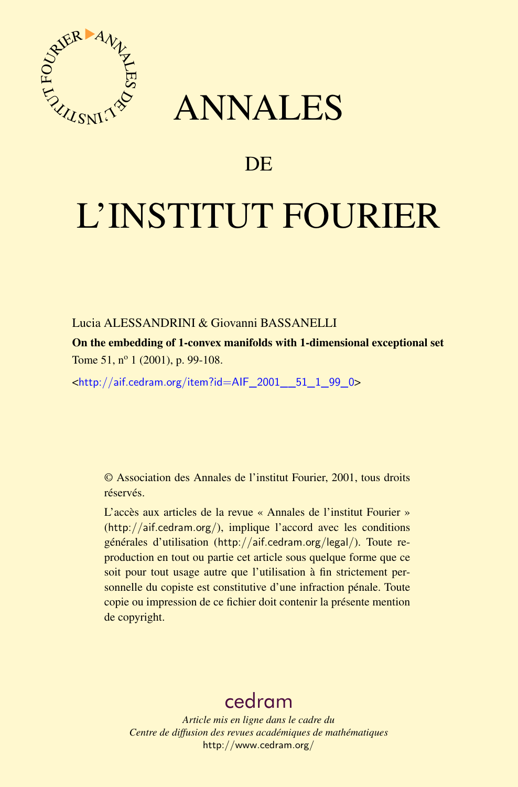



# DE

# L'INSTITUT FOURIER

## Lucia ALESSANDRINI & Giovanni BASSANELLI

On the embedding of 1-convex manifolds with 1-dimensional exceptional set Tome 51, nº 1 (2001), p. 99-108.

<[http://aif.cedram.org/item?id=AIF\\_2001\\_\\_51\\_1\\_99\\_0](http://aif.cedram.org/item?id=AIF_2001__51_1_99_0)>

© Association des Annales de l'institut Fourier, 2001, tous droits réservés.

L'accès aux articles de la revue « Annales de l'institut Fourier » (<http://aif.cedram.org/>), implique l'accord avec les conditions générales d'utilisation (<http://aif.cedram.org/legal/>). Toute reproduction en tout ou partie cet article sous quelque forme que ce soit pour tout usage autre que l'utilisation à fin strictement personnelle du copiste est constitutive d'une infraction pénale. Toute copie ou impression de ce fichier doit contenir la présente mention de copyright.

## [cedram](http://www.cedram.org/)

*Article mis en ligne dans le cadre du Centre de diffusion des revues académiques de mathématiques* <http://www.cedram.org/>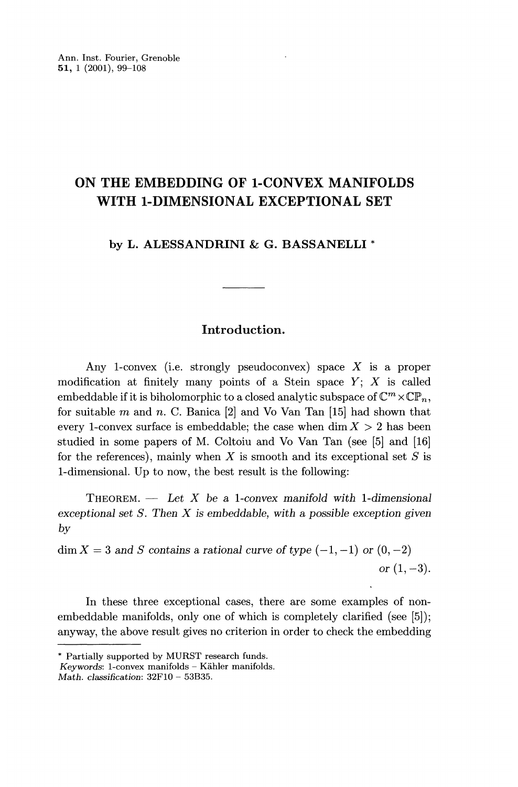## ON THE EMBEDDING OF 1-CONVEX MANIFOLDS WITH 1-DIMENSIONAL EXCEPTIONAL SET

by L. ALESSANDRINI & G. BASSANELLI \*

## Introduction.

Any 1-convex (i.e. strongly pseudoconvex) space  $X$  is a proper modification at finitely many points of a Stein space  $Y$ ;  $X$  is called embeddable if it is biholomorphic to a closed analytic subspace of  $\mathbb{C}^m \times \mathbb{CP}_n$ , for suitable  $m$  and  $n$ . C. Banica  $[2]$  and Vo Van Tan  $[15]$  had shown that every 1-convex surface is embeddable; the case when  $\dim X > 2$  has been studied in some papers of M. Coltoiu and Vo Van Tan (see [5] and [16] for the references), mainly when  $X$  is smooth and its exceptional set  $S$  is 1-dimensional. Up to now, the best result is the following:

THEOREM.  $-$  Let X be a 1-convex manifold with 1-dimensional exceptional set  $S$ . Then  $X$  is embeddable, with a possible exception given by

 $\dim X = 3$  and S contains a rational curve of type  $(-1, -1)$  or  $(0, -2)$ or  $(1, -3)$ .

In these three exceptional cases, there are some examples of nonembeddable manifolds, only one of which is completely clarified (see [5]); anyway, the above result gives no criterion in order to check the embedding

<sup>\*</sup> Partially supported by MURST research funds.

Keywords: 1-convex manifolds - Kähler manifolds.

Math. classification: 32FI0 - 53B35.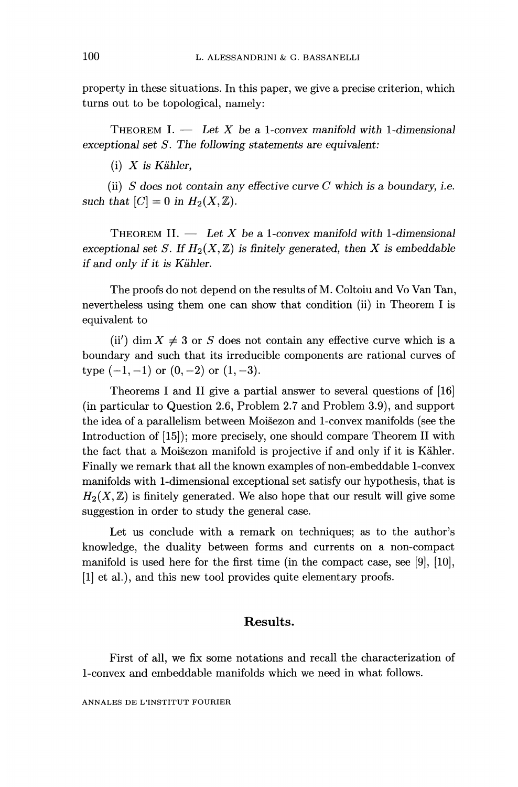property in these situations. In this paper, we give a precise criterion, which turns out to be topological, namely:

THEOREM I.  $-$  Let X be a 1-convex manifold with 1-dimensional exceptional set S. The following statements are equivalent:

 $(i)$  X is Kähler.

(ii)  $S$  does not contain any effective curve  $C$  which is a boundary, i.e. such that  $[C] = 0$  in  $H_2(X, \mathbb{Z})$ .

THEOREM II.  $-$  Let X be a 1-convex manifold with 1-dimensional exceptional set S. If  $H_2(X,\mathbb{Z})$  is finitely generated, then X is embeddable if and only if it is Kahler.

The proofs do not depend on the results of M. Coltoiu and Vo Van Tan, nevertheless using them one can show that condition (ii) in Theorem I is equivalent to

(ii) dim  $X \neq 3$  or S does not contain any effective curve which is a boundary and such that its irreducible components are rational curves of type  $(-1, -1)$  or  $(0, -2)$  or  $(1, -3)$ .

Theorems I and II give a partial answer to several questions of [16] (in particular to Question 2.6, Problem 2.7 and Problem 3.9), and support the idea of a parallelism between Moisezon and 1-convex manifolds (see the Introduction of [15]); more precisely, one should compare Theorem II with the fact that a Moisezon manifold is projective if and only if it is Kahler. Finally we remark that all the known examples of non-embeddable 1-convex manifolds with 1-dimensional exceptional set satisfy our hypothesis, that is  $H_2(X,\mathbb{Z})$  is finitely generated. We also hope that our result will give some suggestion in order to study the general case.

Let us conclude with a remark on techniques; as to the author's knowledge, the duality between forms and currents on a non-compact manifold is used here for the first time (in the compact case, see [9], [10], [1] et al.), and this new tool provides quite elementary proofs.

## Results.

First of all, we fix some notations and recall the characterization of 1-convex and embeddable manifolds which we need in what follows.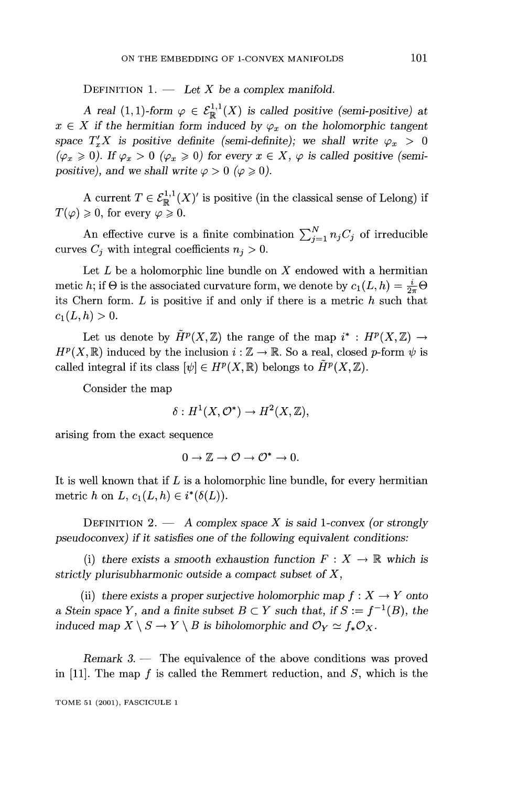DEFINITION 1.  $-$  Let X be a complex manifold.

A real (1, 1)-form  $\varphi \in \mathcal{E}_{\mathbb{R}}^{1,1}(X)$  is called positive (semi-positive) at  $x \in X$  if the hermitian form induced by  $\varphi_x$  on the holomorphic tangent space  $T'_xX$  is positive definite (semi-definite); we shall write  $\varphi_x > 0$  $(\varphi_x \geq 0)$ . If  $\varphi_x > 0$   $(\varphi_x \geq 0)$  for every  $x \in X$ ,  $\varphi$  is called positive (semipositive), and we shall write  $\varphi > 0$  ( $\varphi \ge 0$ ).

A current  $T \in \mathcal{E}_{\mathbb{R}}^{1,1}(X)'$  is positive (in the classical sense of Lelong) if  $T(\varphi) \geqslant 0$ , for every  $\varphi \geqslant 0$ .

An effective curve is a finite combination  $\sum_{j=1}^{N} n_j C_j$  of irreducible curves  $C_j$  with integral coefficients  $n_j > 0$ .

Let  $L$  be a holomorphic line bundle on  $X$  endowed with a hermitian metic h; if  $\Theta$  is the associated curvature form, we denote by  $c_1(L, h) = \frac{i}{2\pi} \Theta$ its Chern form.  $L$  is positive if and only if there is a metric  $h$  such that  $c_1(L, h) > 0.$ 

Let us denote by  $\tilde{H}^p(X,\mathbb{Z})$  the range of the map  $i^*: H^p(X,\mathbb{Z}) \to$  $H^p(X,\mathbb{R})$  induced by the inclusion  $i:\mathbb{Z}\to\mathbb{R}$ . So a real, closed p-form  $\psi$  is called integral if its class  $[\psi] \in H^p(X, \mathbb{R})$  belongs to  $\tilde{H}^p(X, \mathbb{Z})$ .

Consider the map

$$
\delta: H^1(X, \mathcal{O}^*) \to H^2(X, \mathbb{Z}),
$$

arising from the exact sequence

$$
0 \to \mathbb{Z} \to \mathcal{O} \to \mathcal{O}^* \to 0.
$$

It is well known that if  $L$  is a holomorphic line bundle, for every hermitian metric h on L,  $c_1(L, h) \in i^*(\delta(L))$ .

DEFINITION 2.  $-$  A complex space X is said 1-convex (or strongly pseudoconvex) if it satisfies one of the following equivalent conditions:

(i) there exists a smooth exhaustion function  $F: X \to \mathbb{R}$  which is strictly plurisubharmonic outside a compact subset of X,

(ii) there exists a proper surjective holomorphic map  $f: X \to Y$  onto a Stein space Y, and a finite subset  $B \subset Y$  such that, if  $S := f^{-1}(B)$ , the induced map  $X \setminus S \to Y \setminus B$  is biholomorphic and  $\mathcal{O}_Y \simeq f_*\mathcal{O}_X$ .

 $Remark 3.$  - The equivalence of the above conditions was proved in [11]. The map f is called the Remmert reduction, and  $S$ , which is the

TOME 51 (2001), FASCICULE 1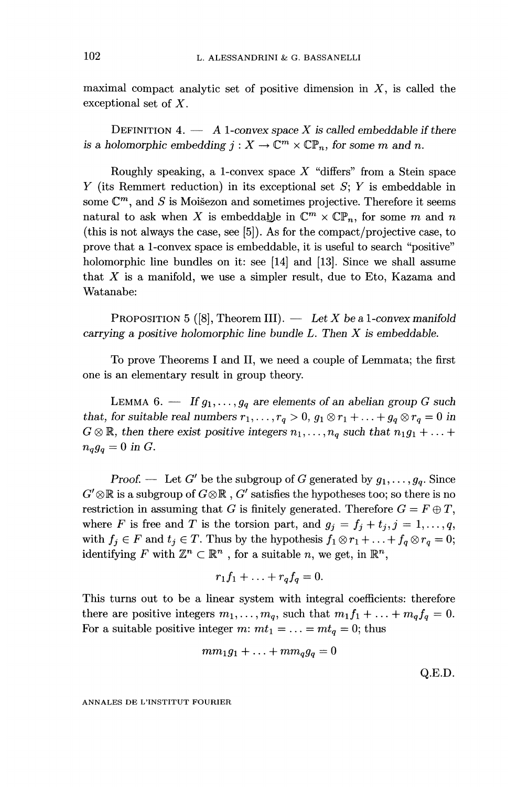maximal compact analytic set of positive dimension in  $X$ , is called the exceptional set of X.

DEFINITION 4.  $-$  A 1-convex space X is called embeddable if there is a holomorphic embedding  $j: X \to \mathbb{C}^m \times \mathbb{CP}_n$ , for some m and n.

Roughly speaking, a 1-convex space  $X$  "differs" from a Stein space Y (its Remmert reduction) in its exceptional set  $S$ ; Y is embeddable in some  $\mathbb{C}^m$ , and S is Moisezon and sometimes projective. Therefore it seems natural to ask when X is embeddable in  $\mathbb{C}^m \times \mathbb{CP}_n$ , for some m and n (this is not always the case, see  $[5]$ ). As for the compact/projective case, to prove that a 1-convex space is embeddable, it is useful to search "positive" holomorphic line bundles on it: see [14] and [13]. Since we shall assume that  $X$  is a manifold, we use a simpler result, due to Eto, Kazama and Watanabe:

PROPOSITION 5 ([8], Theorem III).  $-$  Let X be a 1-convex manifold carrying a positive holomorphic line bundle  $L$ . Then  $X$  is embeddable.

To prove Theorems I and II, we need a couple of Lemmata; the first one is an elementary result in group theory.

LEMMA 6. - If  $g_1, \ldots, g_q$  are elements of an abelian group G such that, for suitable real numbers  $r_1, \ldots, r_q > 0$ ,  $g_1 \otimes r_1 + \ldots + g_q \otimes r_q = 0$  in  $G \otimes \mathbb{R}$ , then there exist positive integers  $n_1, \ldots, n_q$  such that  $n_1g_1 + \ldots + n_q$  $n_qg_q=0$  in G.

Proof. — Let G' be the subgroup of G generated by  $g_1, \ldots, g_q$ . Since  $G' \otimes \mathbb{R}$  is a subgroup of  $G \otimes \mathbb{R}$ ,  $G'$  satisfies the hypotheses too; so there is no restriction in assuming that G is finitely generated. Therefore  $G = F \oplus T$ , where F is free and T is the torsion part, and  $g_j = f_j + t_j, j = 1, \ldots, q$ , with  $f_j \in F$  and  $t_j \in T$ . Thus by the hypothesis  $f_1 \otimes r_1 + \ldots + f_q \otimes r_q = 0$ ; identifying F with  $\mathbb{Z}^n \subset \mathbb{R}^n$ , for a suitable n, we get, in  $\mathbb{R}^n$ ,

$$
r_1f_1 + \ldots + r_qf_q = 0
$$

This turns out to be a linear system with integral coefhcients: therefore there are positive integers  $m_1, \ldots, m_q$ , such that  $m_1 f_1 + \ldots + m_q f_q = 0$ . For a suitable positive integer m:  $mt_1 = ... = mt_q = 0$ ; thus

$$
mm_1g_1+\ldots+mm_qg_q=0
$$

 $Q.E.D.$ 

ANNALES DE L'INSTITUT FOURIER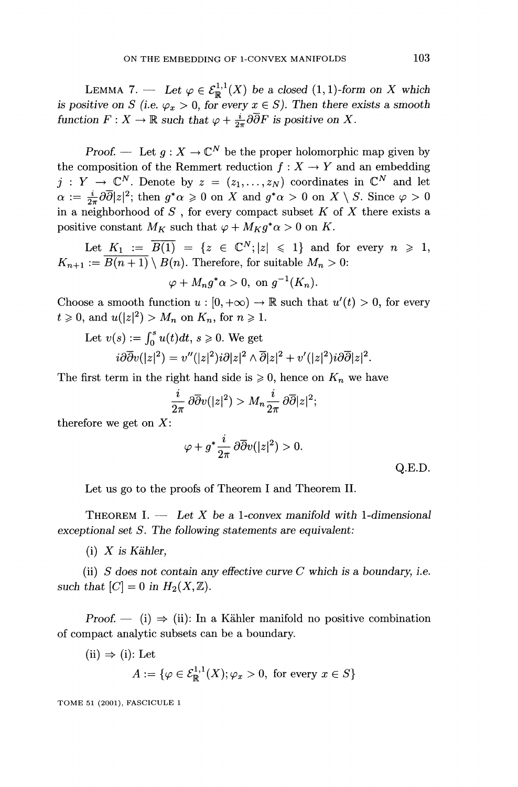LEMMA 7. - Let  $\varphi \in \mathcal{E}_{\mathbb{R}}^{1,1}(X)$  be a closed  $(1, 1)$ -form on X which is positive on S (i.e.  $\varphi_x > 0$ , for every  $x \in S$ ). Then there exists a smooth function  $F: X \to \mathbb{R}$  such that  $\varphi + \frac{i}{2\pi} \partial \overline{\partial} F$  is positive on X.

Proof. — Let  $g: X \to \mathbb{C}^N$  be the proper holomorphic map given by the composition of the Remmert reduction  $f: X \to Y$  and an embedding  $j: Y \to \mathbb{C}^N$ . Denote by  $z = (z_1, \ldots, z_N)$  coordinates in  $\mathbb{C}^N$  and let  $\alpha := \frac{i}{2\pi} \partial \overline{\partial} |z|^2$ ; then  $g^* \alpha \geq 0$  on X and  $g^* \alpha > 0$  on  $X \setminus S$ . Since  $\varphi > 0$ in a neighborhood of  $S$ , for every compact subset  $K$  of  $X$  there exists a positive constant  $M_K$  such that  $\varphi + M_K g^* \alpha > 0$  on K.

Let  $K_1 := \overline{B(1)} = \{z \in \mathbb{C}^N; |z| \leq 1\}$  and for every  $n \geq 1$ ,  $K_{n+1} := \overline{B(n+1)} \setminus B(n)$ . Therefore, for suitable  $M_n > 0$ :

$$
\varphi + M_n g^* \alpha > 0, \text{ on } g^{-1}(K_n).
$$

Choose a smooth function  $u : [0, +\infty) \to \mathbb{R}$  such that  $u'(t) > 0$ , for every  $t \geqslant 0$ , and  $u(|z|^2) > M_n$  on  $K_n$ , for  $n \geqslant 1$ .

Let 
$$
v(s) := \int_0^s u(t)dt
$$
,  $s \ge 0$ . We get  
\n $i\partial \overline{\partial} v(|z|^2) = v''(|z|^2)i\partial |z|^2 \wedge \overline{\partial} |z|^2 + v'(|z|^2)i\partial \overline{\partial} |z|^2$ 

The first term in the right hand side is  $\geq 0$ , hence on  $K_n$  we have

$$
\frac{i}{2\pi}\,\partial\overline{\partial}v(|z|^2) > M_n\frac{i}{2\pi}\,\partial\overline{\partial}|z|^2;
$$

therefore we get on  $X$ :

$$
\varphi + g^* \frac{i}{2\pi} \, \partial \overline{\partial} v(|z|^2) > 0.
$$

Q.E.D.

Let us go to the proofs of Theorem I and Theorem II.

THEOREM I.  $-$  Let X be a 1-convex manifold with 1-dimensional exceptional set S. The following statements are equivalent:

 $(i)$  X is Kähler,

(ii) S does not contain any effective curve  $C$  which is a boundary, i.e. such that  $|C| = 0$  in  $H_2 (X, \mathbb{Z}).$ 

Proof.  $\leftarrow$  (i)  $\Rightarrow$  (ii): In a Kähler manifold no positive combination of compact analytic subsets can be a boundary.

(ii) 
$$
\Rightarrow
$$
 (i): Let  

$$
A := \{ \varphi \in \mathcal{E}^{1,1}_\mathbb{R}(X); \varphi_x > 0, \text{ for every } x \in S \}
$$

TOME 51 (2001), FASCICULE 1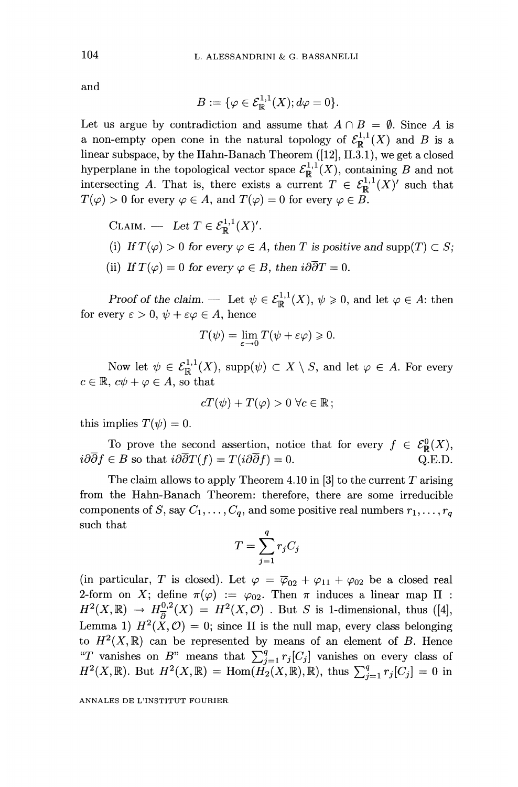and

$$
B := \{ \varphi \in \mathcal{E}^{1,1}_{\mathbb{R}}(X); d\varphi = 0 \}.
$$

Let us argue by contradiction and assume that  $A \cap B = \emptyset$ . Since A is a non-empty open cone in the natural topology of  $\mathcal{E}_{\mathbb{R}}^{1,1}(X)$  and B is a linear subspace, by the Hahn-Banach Theorem ([12], 11.3.1), we get a closed hyperplane in the topological vector space  $\mathcal{E}_{\mathbb{R}}^{1,1}(X)$ , containing B and not intersecting A. That is, there exists a current  $T \in \mathcal{E}_{\mathbb{R}}^{1,1}(X)'$  such that  $T(\varphi) > 0$  for every  $\varphi \in A$ , and  $T(\varphi) = 0$  for every  $\varphi \in B$ .

\n- CLAIM. — Let 
$$
T \in \mathcal{E}_{\mathbb{R}}^{1,1}(X)'
$$
.
\n- (i) If  $T(\varphi) > 0$  for every  $\varphi \in A$ , then  $T$  is positive and  $\text{supp}(T) \subset S$ ;
\n- (ii) If  $T(\varphi) = 0$  for every  $\varphi \in B$ , then  $i\partial \overline{\partial} T = 0$ .
\n

Proof of the claim. — Let  $\psi \in \mathcal{E}^{1,1}_{\mathbb{R}}(X), \psi \geq 0$ , and let  $\varphi \in A$ : then for every  $\varepsilon > 0$ ,  $\psi + \varepsilon \varphi \in A$ , hence

$$
T(\psi) = \lim_{\varepsilon \to 0} T(\psi + \varepsilon \varphi) \geq 0.
$$

Now let  $\psi \in \mathcal{E}^{1,1}_\mathbb{R}(X)$ , supp $(\psi) \subset X \setminus S$ , and let  $\varphi \in A$ . For every  $c \in \mathbb{R}$ ,  $c\psi + \varphi \in A$ , so that

$$
cT(\psi) + T(\varphi) > 0 \,\forall c \in \mathbb{R};
$$

this implies  $T(\psi) = 0$ .

To prove the second assertion, notice that for every  $f \in \mathcal{E}_{\mathbb{R}}^0(X)$ ,  $i\partial\overline{\partial} f \in B$  so that  $i\partial\overline{\partial} T(f) = T(i\partial\overline{\partial} f) = 0.$  $O.E.D.$ 

The claim allows to apply Theorem 4.10 in [3] to the current  $T$  arising from the Hahn-Banach Theorem: therefore, there are some irreducible components of S, say  $C_1, \ldots, C_q$ , and some positive real numbers  $r_1, \ldots, r_q$ such that

$$
T = \sum_{j=1}^{q} r_j C_j
$$

(in particular, T is closed). Let  $\varphi = \overline{\varphi}_{02} + \varphi_{11} + \varphi_{02}$  be a closed real 2-form on X; define  $\pi(\varphi) := \varphi_{02}$ . Then  $\pi$  induces a linear map  $\Pi$ :  $H^2(X,\mathbb{R}) \to H^{0,2}_{\overline{A}}(X) = H^2(X,\mathcal{O})$ . But S is 1-dimensional, thus ([4], Lemma 1)  $H^2(\check{X}, \mathcal{O}) = 0$ ; since  $\Pi$  is the null map, every class belonging to  $H^2(X,\mathbb{R})$  can be represented by means of an element of B. Hence "T vanishes on B" means that  $\sum_{j=1}^{q} r_j [C_j]$  vanishes on every class of  $H^2(X,\mathbb{R})$ . But  $H^2(X,\mathbb{R}) = \text{Hom}(\check{H_2}(X,\mathbb{R}),\mathbb{R})$ , thus  $\sum_{j=1}^q r_j[C_j] = 0$  in

ANNALES DE L'INSTITUT FOURIER

104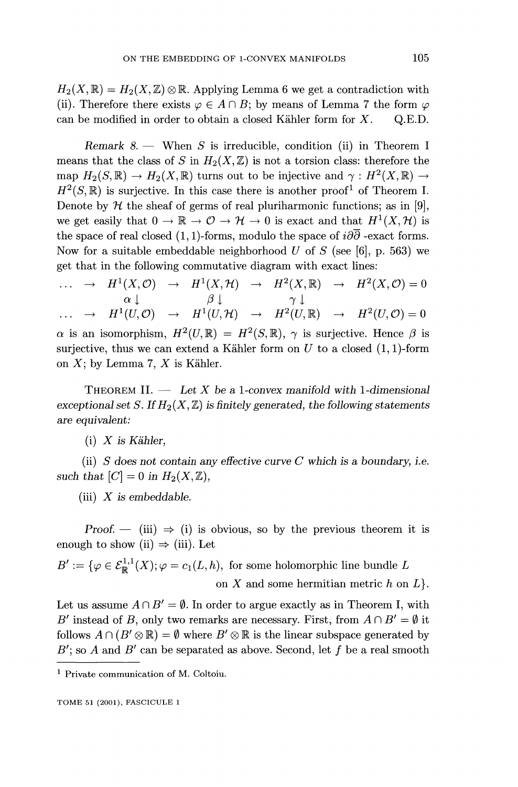$H_2(X,\mathbb{R}) = H_2(X,\mathbb{Z}) \otimes \mathbb{R}$ . Applying Lemma 6 we get a contradiction with (ii). Therefore there exists  $\varphi \in A \cap B$ ; by means of Lemma 7 the form  $\varphi$  can be modified in order to obtain a closed Kähler form for X. Q.E.D. can be modified in order to obtain a closed Kähler form for  $X$ .

Remark  $8.$  - When S is irreducible, condition (ii) in Theorem I means that the class of S in  $H_2 (X, \mathbb{Z})$  is not a torsion class: therefore the map  $H_2(S,\mathbb{R}) \to H_2(X,\mathbb{R})$  turns out to be injective and  $\gamma : H^2(X,\mathbb{R}) \to$  $H^2(S,\mathbb{R})$  is surjective. In this case there is another proof<sup>1</sup> of Theorem I. Denote by  $H$  the sheaf of germs of real pluriharmonic functions; as in [9], we get easily that  $0 \to \mathbb{R} \to \mathcal{O} \to \mathcal{H} \to 0$  is exact and that  $H^1(X, \mathcal{H})$  is the space of real closed (1, 1)-forms, modulo the space of  $i\partial\overline{\partial}$  -exact forms. Now for a suitable embeddable neighborhood U of S (see [6], p. 563) we get that in the following commutative diagram with exact lines:

 $\ldots \rightarrow H^1(X, \mathcal{O}) \rightarrow H^1(X, \mathcal{H}) \rightarrow H^2(X, \mathbb{R}) \rightarrow H^2(X, \mathcal{O}) = 0$  $\cdots \rightarrow H^1(U, \mathcal{O}) \rightarrow H^1(U, \mathcal{H}) \rightarrow H^2(U, \mathbb{R}) \rightarrow H^2(U, \mathcal{O}) = 0$  $\alpha$  is an isomorphism,  $H^2(U,\mathbb{R}) = H^2(S,\mathbb{R}), \gamma$  is surjective. Hence  $\beta$  is surjective, thus we can extend a Kähler form on  $U$  to a closed (1, 1)-form on  $X$ ; by Lemma 7,  $X$  is Kähler.

THEOREM II.  $-$  Let X be a 1-convex manifold with 1-dimensional exceptional set S. If  $H_2(X,\mathbb{Z})$  is finitely generated, the following statements are equivalent:

 $(i)$  X is Kähler,

(ii) S does not contain any effective curve C which is a boundary, i.e. such that  $[C] = 0$  in  $H_2(X, \mathbb{Z})$ ,

(iii)  $X$  is embeddable.

Proof.  $-$  (iii)  $\Rightarrow$  (i) is obvious, so by the previous theorem it is enough to show (ii)  $\Rightarrow$  (iii). Let

 $B' := \{ \varphi \in \mathcal{E}_{\mathbb{R}}^{1,1}(X); \varphi = c_1(L, h), \text{ for some holomorphic line bundle } L \}$ on  $X$  and some hermitian metric  $h$  on  $L$ .

Let us assume  $A \cap B' = \emptyset$ . In order to argue exactly as in Theorem I, with B' instead of B, only two remarks are necessary. First, from  $A \cap B' = \emptyset$  it follows  $A \cap (B' \otimes \mathbb{R}) = \emptyset$  where  $B' \otimes \mathbb{R}$  is the linear subspace generated by  $B'$ ; so A and  $B'$  can be separated as above. Second, let f be a real smooth

<sup>1</sup> Private communication of M. Coltoiu.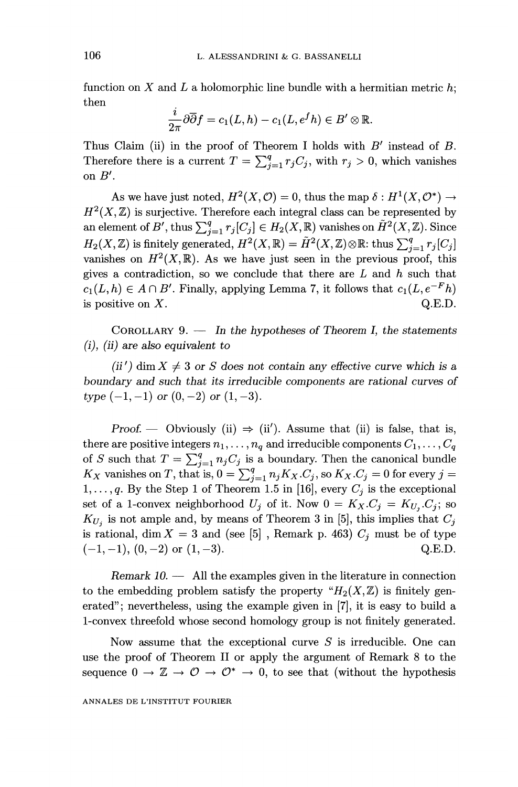function on X and L a holomorphic line bundle with a hermitian metric  $h$ ; then

$$
\frac{i}{2\pi}\partial\overline{\partial} f = c_1(L, h) - c_1(L, e^f h) \in B' \otimes \mathbb{R}.
$$

Thus Claim (ii) in the proof of Theorem I holds with  $B'$  instead of  $B$ . Therefore there is a current  $T = \sum_{j=1}^{q} r_j C_j$ , with  $r_j > 0$ , which vanishes on  $B'$ .

As we have just noted,  $H^2(X, \mathcal{O}) = 0$ , thus the map  $\delta : H^1(X, \mathcal{O}^*) \to$  $H<sup>2</sup>(X, \mathbb{Z})$  is surjective. Therefore each integral class can be represented by an element of B', thus  $\sum_{i=1}^{q} r_i[C_j] \in H_2(X, \mathbb{R})$  vanishes on  $\tilde{H}^2(X, \mathbb{Z})$ . Since  $H_2(X,\mathbb{Z})$  is finitely generated,  $H^2(X,\mathbb{R}) = \tilde{H}^2(X,\mathbb{Z})\otimes \mathbb{R}$ : thus  $\sum_{i=1}^q r_i[C_i]$ vanishes on  $H^2(X,\mathbb{R})$ . As we have just seen in the previous proof, this gives a contradiction, so we conclude that there are  $L$  and  $h$  such that  $c_1(L, h) \in A \cap B'$ . Finally, applying Lemma 7, it follows that  $c_1(L, e^{-F}h)$ is positive on  $X$ . Q.E.D.

COROLLARY 9.  $-$  In the hypotheses of Theorem I, the statements  $(i)$ ,  $(ii)$  are also equivalent to

(ii') dim  $X \neq 3$  or S does not contain any effective curve which is a boundary and such that its irreducible components are rational curves of type  $(-1, -1)$  or  $(0, -2)$  or  $(1, -3)$ .

Proof. — Obviously (ii)  $\Rightarrow$  (ii'). Assume that (ii) is false, that is, there are positive integers  $n_1, \ldots, n_q$  and irreducible components  $C_1, \ldots, C_q$ of S such that  $T = \sum_{j=1}^{q} n_j C_j$  is a boundary. Then the canonical bundle  $K_X$  vanishes on T, that is,  $0 = \sum_{j=1}^q n_j K_X.C_j$ , so  $K_X.C_j = 0$  for every  $j =$  $1, \ldots, q$ . By the Step 1 of Theorem 1.5 in [16], every  $C_j$  is the exceptional set of a 1-convex neighborhood  $U_j$  of it. Now  $0 = K_X.C_j = K_{U_j}.C_j$ ; so  $K_{U_i}$  is not ample and, by means of Theorem 3 in [5], this implies that  $C_j$ is rational, dim  $X = 3$  and (see [5], Remark p. 463)  $C_j$  must be of type  $(-1, -1), (0, -2)$  or  $(1, -3)$ . Q.E.D.

Remark  $10.$  - All the examples given in the literature in connection to the embedding problem satisfy the property " $H_2(X,\mathbb{Z})$  is finitely generated"; nevertheless, using the example given in [7], it is easy to build a 1-convex threefold whose second homology group is not finitely generated.

Now assume that the exceptional curve  $S$  is irreducible. One can use the proof of Theorem II or apply the argument of Remark 8 to the sequence  $0 \to \mathbb{Z} \to \mathcal{O} \to \mathcal{O}^* \to 0$ , to see that (without the hypothesis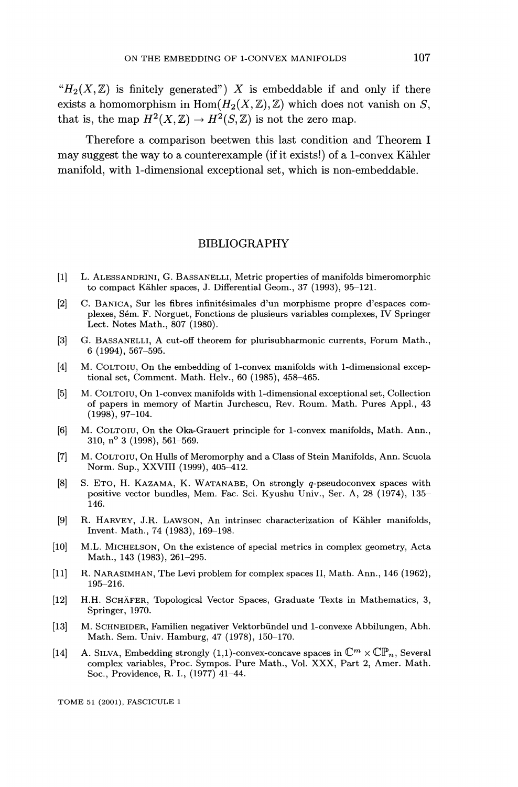" $H_2(X,\mathbb{Z})$  is finitely generated") X is embeddable if and only if there exists a homomorphism in  $\text{Hom}(H_2(X,\mathbb{Z}),\mathbb{Z})$  which does not vanish on S, that is, the map  $H^2(X,\mathbb{Z}) \to H^2(S,\mathbb{Z})$  is not the zero map.

Therefore a comparison beetwen this last condition and Theorem I may suggest the way to a counterexample (if it exists!) of a 1-convex Kahler manifold, with 1-dimensional exceptional set, which is non-embeddable.

### BIBLIOGRAPHY

- [1] L. ALESSANDRINI, G. BASSANELLI, Metric properties of manifolds bimeromorphic to compact Kähler spaces, J. Differential Geom., 37 (1993), 95-121.
- [2] C. BANICA, Sur les fibres infinitésimales d'un morphisme propre d'espaces complexes, Sém. F. Norguet, Fonctions de plusieurs variables complexes, IV Springer Lect. Notes Math., 807 (1980).
- [3] G. BASSANELLI, A cut-off theorem for plurisubharmonic currents, Forum Math., 6 (1994), 567-595.
- [4] M. COLTOIU, On the embedding of 1-convex manifolds with 1-dimensional exceptional set, Comment. Math. Helv., 60 (1985), 458-465.
- [5] M. COLTOIU, On 1-convex manifolds with 1-dimensional exceptional set, Collection of papers in memory of Martin Jurchescu, Rev. Roum. Math. Pures Appl., 43 (1998), 97-104.
- [6] M. COLTOIU, On the Oka-Grauert principle for 1-convex manifolds, Math. Ann., 310, n° 3 (1998), 561-569.
- [7] M. COLTOIU, On Hulls of Meromorphy and a Class of Stein Manifolds, Ann. Scuola Norm. Sup., XXVIII (1999), 405-412.
- [8] S. ETO, H. KAZAMA, K. WATANABE, On strongly q-pseudoconvex spaces with positive vector bundles, Mem. Fac. Sci. Kyushu Univ., Ser. A, 28 (1974), 135- 146.
- [9] R. HARVEY, J.R. LAWSON, An intrinsec characterization of Kähler manifolds, Invent. Math., 74 (1983), 169-198.
- [10] M.L. MICHELSON, On the existence of special metrics in complex geometry, Acta Math., 143 (1983), 261-295.
- [11] R. NARASIMHAN, The Levi problem for complex spaces II, Math. Ann., 146 (1962), 195-216.
- [12] H.H. SCHÄFER, Topological Vector Spaces, Graduate Texts in Mathematics, 3, Springer, 1970.
- [13] M. SCHNEIDER, Familien negativer Vektorbündel und 1-convexe Abbilungen, Abh. Math. Sem. Univ. Hamburg, 47 (1978), 150-170.
- [14] A. SILVA, Embedding strongly (1,1)-convex-concave spaces in  $\mathbb{C}^m \times \mathbb{CP}_n$ , Several complex variables, Proc. Sympos. Pure Math., Vol. XXX, Part 2, Amer. Math. Soc., Providence, R. I., (1977) 41-44.

TOME 51 (2001), FASCICULE 1